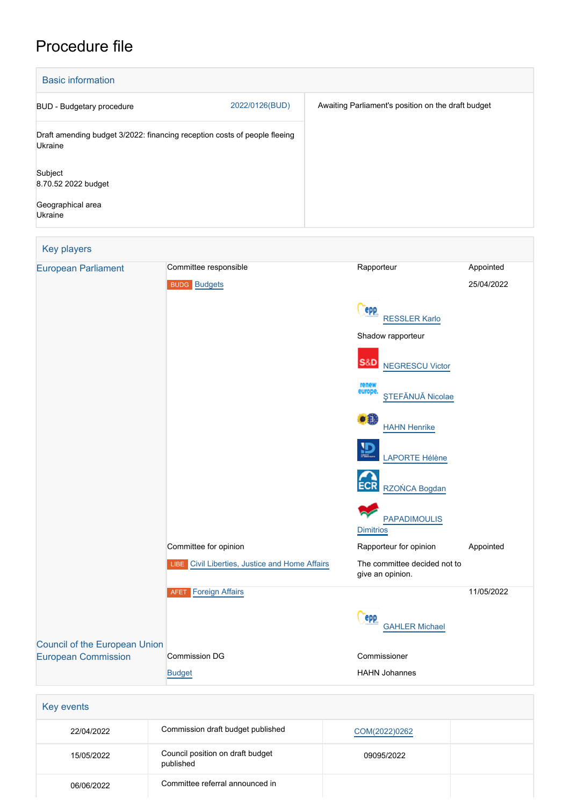## Procedure file

| <b>Basic information</b>                                                             |                |                                                    |
|--------------------------------------------------------------------------------------|----------------|----------------------------------------------------|
| BUD - Budgetary procedure                                                            | 2022/0126(BUD) | Awaiting Parliament's position on the draft budget |
| Draft amending budget 3/2022: financing reception costs of people fleeing<br>Ukraine |                |                                                    |
| Subject<br>8.70.52 2022 budget<br>Geographical area<br>Ukraine                       |                |                                                    |

| <b>Key players</b>                   |                                                |                                                  |            |
|--------------------------------------|------------------------------------------------|--------------------------------------------------|------------|
| <b>European Parliament</b>           | Committee responsible                          | Rapporteur                                       | Appointed  |
|                                      | <b>BUDG Budgets</b>                            |                                                  | 25/04/2022 |
|                                      |                                                | epp<br><b>RESSLER Karlo</b>                      |            |
|                                      |                                                | Shadow rapporteur                                |            |
|                                      |                                                | S&D<br><b>NEGRESCU Victor</b>                    |            |
|                                      |                                                | renew<br>europe.<br><b>STEFĂNUĂ Nicolae</b>      |            |
|                                      |                                                | oß.<br><b>HAHN Henrike</b>                       |            |
|                                      |                                                | LAPORTE Hélène                                   |            |
|                                      |                                                | RZOŃCA Bogdan                                    |            |
|                                      |                                                | <b>PAPADIMOULIS</b><br><b>Dimitrios</b>          |            |
|                                      | Committee for opinion                          | Rapporteur for opinion                           | Appointed  |
|                                      | LIBE Civil Liberties, Justice and Home Affairs | The committee decided not to<br>give an opinion. |            |
|                                      | Foreign Affairs<br><b>AFET</b>                 |                                                  | 11/05/2022 |
|                                      |                                                | epp<br><b>GAHLER Michael</b>                     |            |
| <b>Council of the European Union</b> |                                                |                                                  |            |
| <b>European Commission</b>           | <b>Commission DG</b><br><b>Budget</b>          | Commissioner<br><b>HAHN Johannes</b>             |            |
|                                      |                                                |                                                  |            |
| <b>Key events</b>                    |                                                |                                                  |            |

| Key events |                                               |               |  |
|------------|-----------------------------------------------|---------------|--|
| 22/04/2022 | Commission draft budget published             | COM(2022)0262 |  |
| 15/05/2022 | Council position on draft budget<br>published | 09095/2022    |  |
| 06/06/2022 | Committee referral announced in               |               |  |